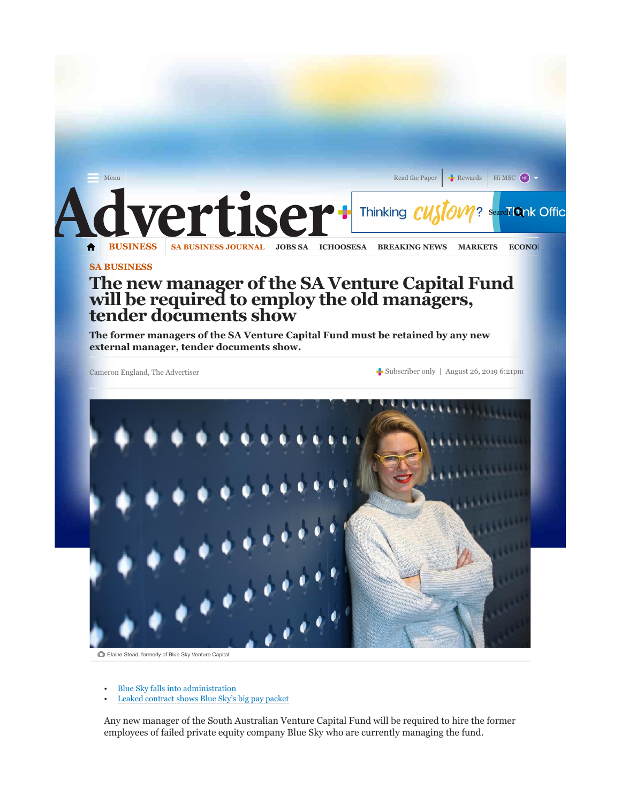

## The new manager of the SA Venture Capital Fund will be required to employ the old managers, tender documents show

The former managers of the SA Venture Capital Fund must be retained by any new external manager, tender documents show.

Cameron England, The Advertiser Subscriber only | August 26, 2019 6:21pm



Elaine Stead, formerly of Blue Sky Venture Capital.

- Blue Sky falls into administration
- Leaked contract shows Blue Sky's big pay packet

Any new manager of the South Australian Venture Capital Fund will be required to hire the former employees of failed private equity company Blue Sky who are currently managing the fund.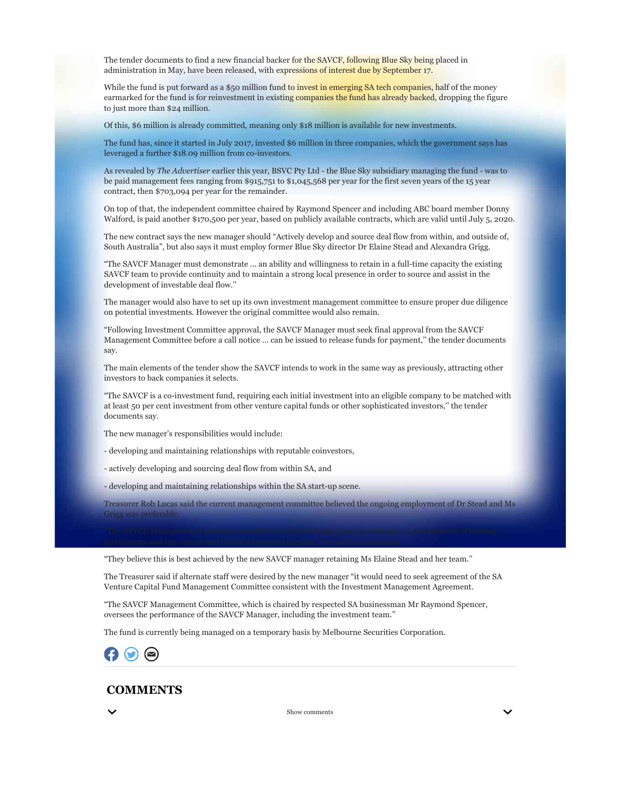The tender documents to find a new financial backer for the SAVCF, following Blue Sky being placed in administration in May, have been released, with expressions of interest due by September 17.

While the fund is put forward as a \$50 million fund to invest in emerging SA tech companies, half of the money earmarked for the fund is for reinvestment in existing companies the fund has already backed, dropping the figure to just more than \$24 million.

Of this, \$6 million is already committed, meaning only \$18 million is available for new investments.

The fund has, since it started in July 2017, invested \$6 million in three companies, which the government says has leveraged a further \$18.09 million from co-investors.

As revealed by The Advertiser earlier this year, BSVC Pty Ltd - the Blue Sky subsidiary managing the fund - was to be paid management fees ranging from \$915,751 to \$1,045,568 per year for the first seven years of the 15 year contract, then \$703,094 per year for the remainder.

On top of that, the independent committee chaired by Raymond Spencer and including ABC board member Donny Walford, is paid another \$170,500 per year, based on publicly available contracts, which are valid until July 5, 2020.

The new contract says the new manager should "Actively develop and source deal flow from within, and outside of, South Australia", but also says it must employ former Blue Sky director Dr Elaine Stead and Alexandra Grigg.

"The SAVCF Manager must demonstrate ... an ability and willingness to retain in a full-time capacity the existing SAVCF team to provide continuity and to maintain a strong local presence in order to source and assist in the development of investable deal flow.''

The manager would also have to set up its own investment management committee to ensure proper due diligence on potential investments. However the original committee would also remain.

"Following Investment Committee approval, the SAVCF Manager must seek final approval from the SAVCF Management Committee before a call notice ... can be issued to release funds for payment,'' the tender documents say.

The main elements of the tender show the SAVCF intends to work in the same way as previously, attracting other investors to back companies it selects.

"The SAVCF is a co-investment fund, requiring each initial investment into an eligible company to be matched with at least 50 per cent investment from other venture capital funds or other sophisticated investors,'' the tender documents say.

The new manager's responsibilities would include:

- developing and maintaining relationships with reputable coinvestors,
- actively developing and sourcing deal flow from within SA, and
- developing and maintaining relationships within the SA start-up scene.

Treasurer Rob Lucas said the current management committee believed the ongoing employment of Dr Stead and Ms Grigg was preferable.

"They believe this is best achieved by the new SAVCF manager retaining Ms Elaine Stead and her team.''

The Treasurer said if alternate staff were desired by the new manager "it would need to seek agreement of the SA Venture Capital Fund Management Committee consistent with the Investment Management Agreement.

"The SAVCF Management Committee, which is chaired by respected SA businessman Mr Raymond Spencer, oversees the performance of the SAVCF Manager, including the investment team.''

The fund is currently being managed on a temporary basis by Melbourne Securities Corporation.



## **COMMENTS**